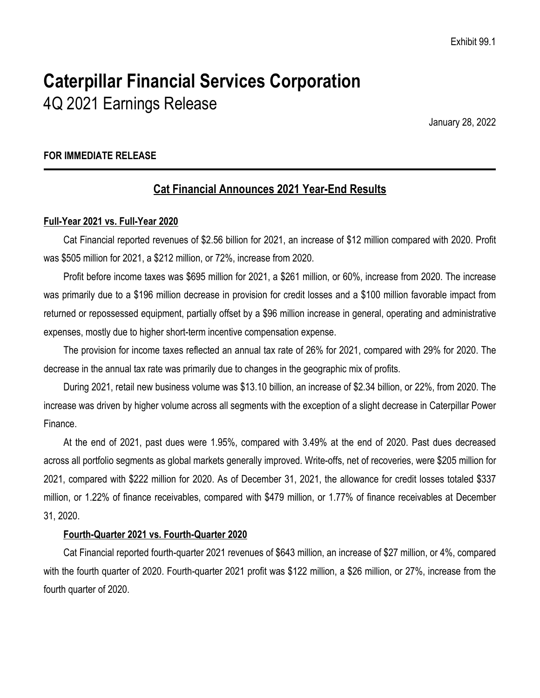# **Caterpillar Financial Services Corporation** 4Q 2021 Earnings Release

January 28, 2022

# **FOR IMMEDIATE RELEASE**

# **Cat Financial Announces 2021 Year-End Results**

### **Full-Year 2021 vs. Full-Year 2020**

Cat Financial reported revenues of \$2.56 billion for 2021, an increase of \$12 million compared with 2020. Profit was \$505 million for 2021, a \$212 million, or 72%, increase from 2020.

Profit before income taxes was \$695 million for 2021, a \$261 million, or 60%, increase from 2020. The increase was primarily due to a \$196 million decrease in provision for credit losses and a \$100 million favorable impact from returned or repossessed equipment, partially offset by a \$96 million increase in general, operating and administrative expenses, mostly due to higher short-term incentive compensation expense.

The provision for income taxes reflected an annual tax rate of 26% for 2021, compared with 29% for 2020. The decrease in the annual tax rate was primarily due to changes in the geographic mix of profits.

During 2021, retail new business volume was \$13.10 billion, an increase of \$2.34 billion, or 22%, from 2020. The increase was driven by higher volume across all segments with the exception of a slight decrease in Caterpillar Power Finance.

At the end of 2021, past dues were 1.95%, compared with 3.49% at the end of 2020. Past dues decreased across all portfolio segments as global markets generally improved. Write-offs, net of recoveries, were \$205 million for 2021, compared with \$222 million for 2020. As of December 31, 2021, the allowance for credit losses totaled \$337 million, or 1.22% of finance receivables, compared with \$479 million, or 1.77% of finance receivables at December 31, 2020.

# **Fourth-Quarter 2021 vs. Fourth-Quarter 2020**

Cat Financial reported fourth-quarter 2021 revenues of \$643 million, an increase of \$27 million, or 4%, compared with the fourth quarter of 2020. Fourth-quarter 2021 profit was \$122 million, a \$26 million, or 27%, increase from the fourth quarter of 2020.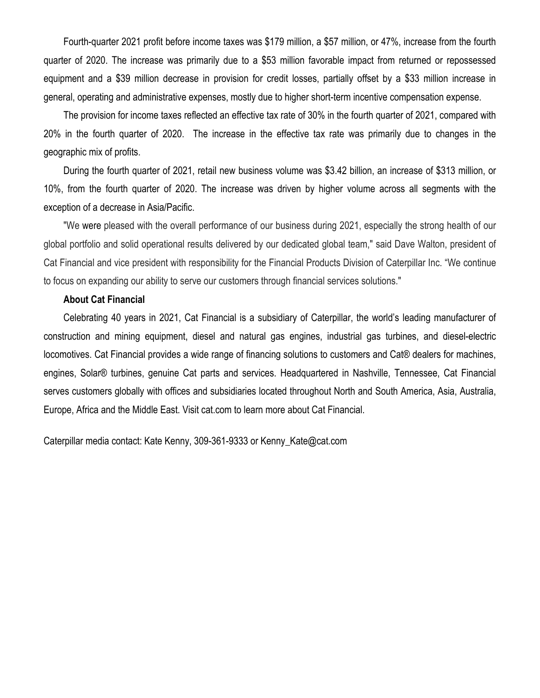Fourth-quarter 2021 profit before income taxes was \$179 million, a \$57 million, or 47%, increase from the fourth quarter of 2020. The increase was primarily due to a \$53 million favorable impact from returned or repossessed equipment and a \$39 million decrease in provision for credit losses, partially offset by a \$33 million increase in general, operating and administrative expenses, mostly due to higher short-term incentive compensation expense.

The provision for income taxes reflected an effective tax rate of 30% in the fourth quarter of 2021, compared with 20% in the fourth quarter of 2020. The increase in the effective tax rate was primarily due to changes in the geographic mix of profits.

During the fourth quarter of 2021, retail new business volume was \$3.42 billion, an increase of \$313 million, or 10%, from the fourth quarter of 2020. The increase was driven by higher volume across all segments with the exception of a decrease in Asia/Pacific.

"We were pleased with the overall performance of our business during 2021, especially the strong health of our global portfolio and solid operational results delivered by our dedicated global team," said Dave Walton, president of Cat Financial and vice president with responsibility for the Financial Products Division of Caterpillar Inc. "We continue to focus on expanding our ability to serve our customers through financial services solutions."

#### **About Cat Financial**

Celebrating 40 years in 2021, Cat Financial is a subsidiary of Caterpillar, the world's leading manufacturer of construction and mining equipment, diesel and natural gas engines, industrial gas turbines, and diesel-electric locomotives. Cat Financial provides a wide range of financing solutions to customers and Cat® dealers for machines, engines, Solar® turbines, genuine Cat parts and services. Headquartered in Nashville, Tennessee, Cat Financial serves customers globally with offices and subsidiaries located throughout North and South America, Asia, Australia, Europe, Africa and the Middle East. Visit cat.com to learn more about Cat Financial.

Caterpillar media contact: Kate Kenny, 309-361-9333 or Kenny\_Kate@cat.com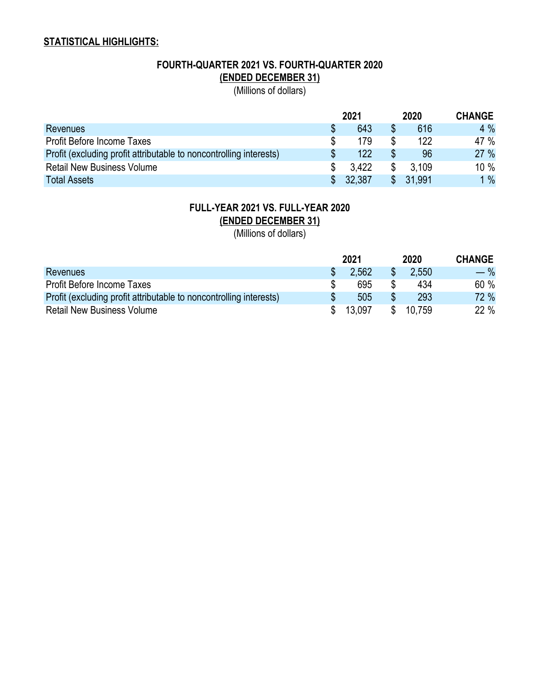# **STATISTICAL HIGHLIGHTS:**

# **FOURTH-QUARTER 2021 VS. FOURTH-QUARTER 2020 (ENDED DECEMBER 31)**

(Millions of dollars)

|                                                                    |    | 2021   | 2020     | <b>CHANGE</b> |
|--------------------------------------------------------------------|----|--------|----------|---------------|
| <b>Revenues</b>                                                    |    | 643    | 616      | 4%            |
| <b>Profit Before Income Taxes</b>                                  |    | 179    | 122      | 47 %          |
| Profit (excluding profit attributable to noncontrolling interests) |    | 122    | 96       | 27 %          |
| <b>Retail New Business Volume</b>                                  |    | 3.422  | 3.109    | 10 %          |
| <b>Total Assets</b>                                                | S. | 32,387 | \$31,991 | 1%            |

# **FULL-YEAR 2021 VS. FULL-YEAR 2020 (ENDED DECEMBER 31)**

(Millions of dollars)

|                                                                    | 2021   |    | 2020   | <b>CHANGE</b> |
|--------------------------------------------------------------------|--------|----|--------|---------------|
| <b>Revenues</b>                                                    | 2,562  |    | 2,550  | $-$ %         |
| Profit Before Income Taxes                                         | 695    |    | 434    | 60 %          |
| Profit (excluding profit attributable to noncontrolling interests) | 505    |    | 293    | 72 %          |
| <b>Retail New Business Volume</b>                                  | 13.097 | S. | 10.759 | 22 %          |